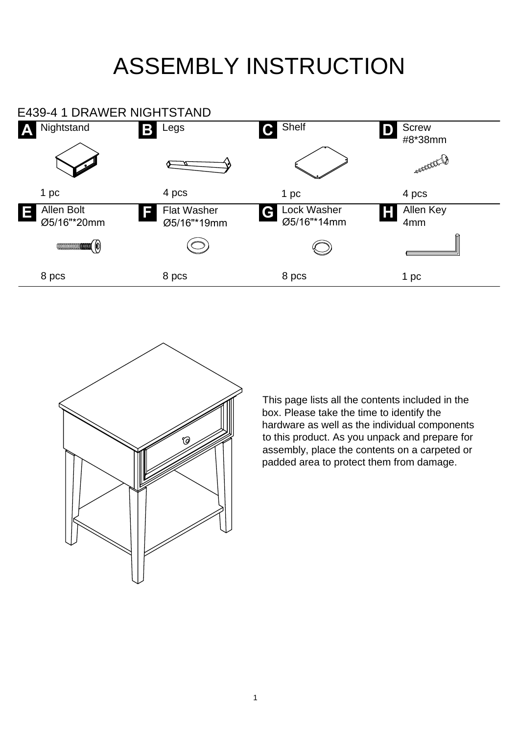## ASSEMBLY INSTRUCTION





This page lists all the contents included in the box. Please take the time to identify the hardware as well as the individual components to this product. As you unpack and prepare for assembly, place the contents on a carpeted or padded area to protect them from damage.